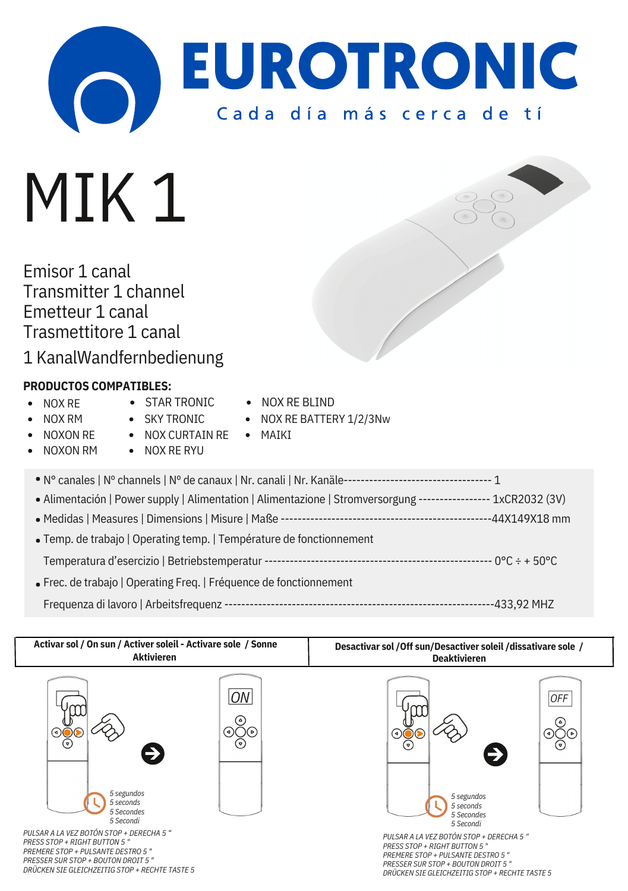

## MIK<sub>1</sub>

Emisor 1 canal Transmitter 1 channel Emetteur 1 canal Trasmettitore 1 canal

1 KanalWandfernbedienung

## **PRODUCTOS COMPATIBLES:**

- NOX RE  $\bullet$
- **STAR TRONIC**
- NOX RE BLIND

• NOX RE BATTERY 1/2/3Nw

- NOX RM
- SKY TRONIC
- NOXON RE
- NOX CURTAIN RE
- MAIKI
- NOXON RM
- **.** NOX RE RYLL

| • Alimentación   Power supply   Alimentation   Alimentazione   Stromversorgung ----------------- 1xCR2032 (3V) |
|----------------------------------------------------------------------------------------------------------------|
|                                                                                                                |
| • Temp. de trabajo   Operating temp.   Température de fonctionnement                                           |
|                                                                                                                |
| • Frec. de trabajo   Operating Freq.   Fréquence de fonctionnement                                             |
| -433.92 MHZ                                                                                                    |

| Activar sol / On sun / Activer soleil - Activare sole / Sonne                                                     |                                                | Desactivar sol / Off sun/Desactiver soleil / dissativare sole /                                                        |                                                  |
|-------------------------------------------------------------------------------------------------------------------|------------------------------------------------|------------------------------------------------------------------------------------------------------------------------|--------------------------------------------------|
| <b>Aktivieren</b>                                                                                                 |                                                | <b>Deaktivieren</b>                                                                                                    |                                                  |
| $(\mathcal{P})$<br>5 segundos<br>5 seconds<br>5 Secondes<br>5 Secondi<br>PULSAR A LA VEZ BOTÓN STOP + DERECHA 5 " | ON<br>`ه]<br>(ء)( )(ه)<br>$(\bar{\mathbb{F}})$ | (⊽)<br>$\rightarrow$<br>5 segundos<br>5 seconds<br>5 Secondes<br>5 Secondi<br>PULSAR A LA VEZ BOTÓN STOP + DERECHA 5 " | <b>OFF</b><br>(۵)<br>⊚⊝⊙<br>$(\bar{\mathbb{F}})$ |
| <b>PRESS STOP + RIGHT BUTTON 5 "</b>                                                                              |                                                | PRESS STOP + RIGHT BUTTON 5"                                                                                           |                                                  |
| PREMERE STOP + PULSANTE DESTRO 5"                                                                                 |                                                | PREMERE STOP + PULSANTE DESTRO 5"                                                                                      |                                                  |
| PRESSER SUR STOP + BOUTON DROIT 5 "                                                                               |                                                | PRESSER SUR STOP + BOUTON DROIT 5"                                                                                     |                                                  |
| DRÜCKEN SIE GLEICHZEITIG STOP + RECHTE TASTE 5                                                                    |                                                | DRUCKEN SIE CLEICHZEITIC STOR + RECHTE TASTE 5                                                                         |                                                  |

*DRÜCKEN SIE GLEICHZEITIG STOP + RECHTE TASTE 5*